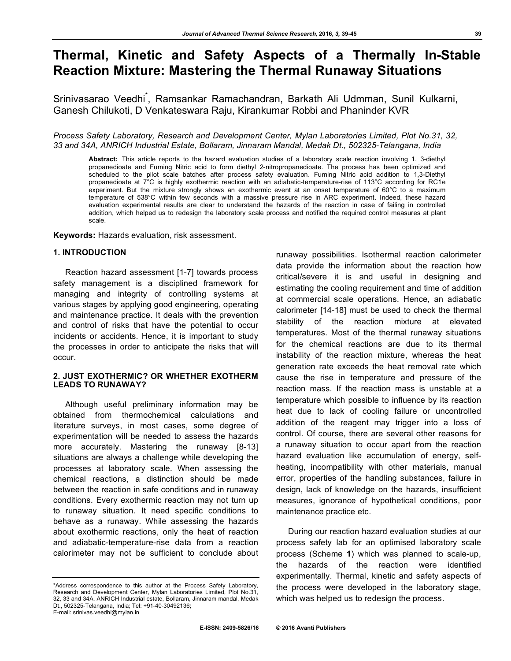# **Thermal, Kinetic and Safety Aspects of a Thermally In-Stable Reaction Mixture: Mastering the Thermal Runaway Situations**

Srinivasarao Veedhi<sup>\*</sup>, Ramsankar Ramachandran, Barkath Ali Udmman, Sunil Kulkarni, Ganesh Chilukoti, D Venkateswara Raju, Kirankumar Robbi and Phaninder KVR

#### *Process Safety Laboratory, Research and Development Center, Mylan Laboratories Limited, Plot No.31, 32, 33 and 34A, ANRICH Industrial Estate, Bollaram, Jinnaram Mandal, Medak Dt., 502325-Telangana, India*

**Abstract:** This article reports to the hazard evaluation studies of a laboratory scale reaction involving 1, 3-diethyl propanedioate and Fuming Nitric acid to form diethyl 2-nitropropanedioate. The process has been optimized and scheduled to the pilot scale batches after process safety evaluation. Fuming Nitric acid addition to 1,3-Diethyl propanedioate at 7°C is highly exothermic reaction with an adiabatic-temperature-rise of 113°C according for RC1e experiment. But the mixture strongly shows an exothermic event at an onset temperature of 60°C to a maximum temperature of 538°C within few seconds with a massive pressure rise in ARC experiment. Indeed, these hazard evaluation experimental results are clear to understand the hazards of the reaction in case of failing in controlled addition, which helped us to redesign the laboratory scale process and notified the required control measures at plant scale.

**Keywords:** Hazards evaluation, risk assessment.

## **1. INTRODUCTION**

Reaction hazard assessment [1-7] towards process safety management is a disciplined framework for managing and integrity of controlling systems at various stages by applying good engineering, operating and maintenance practice. It deals with the prevention and control of risks that have the potential to occur incidents or accidents. Hence, it is important to study the processes in order to anticipate the risks that will occur.

#### **2. JUST EXOTHERMIC? OR WHETHER EXOTHERM LEADS TO RUNAWAY?**

Although useful preliminary information may be obtained from thermochemical calculations and literature surveys, in most cases, some degree of experimentation will be needed to assess the hazards more accurately. Mastering the runaway [8-13] situations are always a challenge while developing the processes at laboratory scale. When assessing the chemical reactions, a distinction should be made between the reaction in safe conditions and in runaway conditions. Every exothermic reaction may not turn up to runaway situation. It need specific conditions to behave as a runaway. While assessing the hazards about exothermic reactions, only the heat of reaction and adiabatic-temperature-rise data from a reaction calorimeter may not be sufficient to conclude about runaway possibilities. Isothermal reaction calorimeter data provide the information about the reaction how critical/severe it is and useful in designing and estimating the cooling requirement and time of addition at commercial scale operations. Hence, an adiabatic calorimeter [14-18] must be used to check the thermal stability of the reaction mixture at elevated temperatures. Most of the thermal runaway situations for the chemical reactions are due to its thermal instability of the reaction mixture, whereas the heat generation rate exceeds the heat removal rate which cause the rise in temperature and pressure of the reaction mass. If the reaction mass is unstable at a temperature which possible to influence by its reaction heat due to lack of cooling failure or uncontrolled addition of the reagent may trigger into a loss of control. Of course, there are several other reasons for a runaway situation to occur apart from the reaction hazard evaluation like accumulation of energy, selfheating, incompatibility with other materials, manual error, properties of the handling substances, failure in design, lack of knowledge on the hazards, insufficient measures, ignorance of hypothetical conditions, poor maintenance practice etc.

During our reaction hazard evaluation studies at our process safety lab for an optimised laboratory scale process (Scheme **1**) which was planned to scale-up, the hazards of the reaction were identified experimentally. Thermal, kinetic and safety aspects of the process were developed in the laboratory stage, which was helped us to redesign the process.

<sup>\*</sup>Address correspondence to this author at the Process Safety Laboratory, Research and Development Center, Mylan Laboratories Limited, Plot No.31, 32, 33 and 34A, ANRICH Industrial estate, Bollaram, Jinnaram mandal, Medak Dt., 502325-Telangana, India; Tel: +91-40-30492136; E-mail: srinivas.veedhi@mylan.in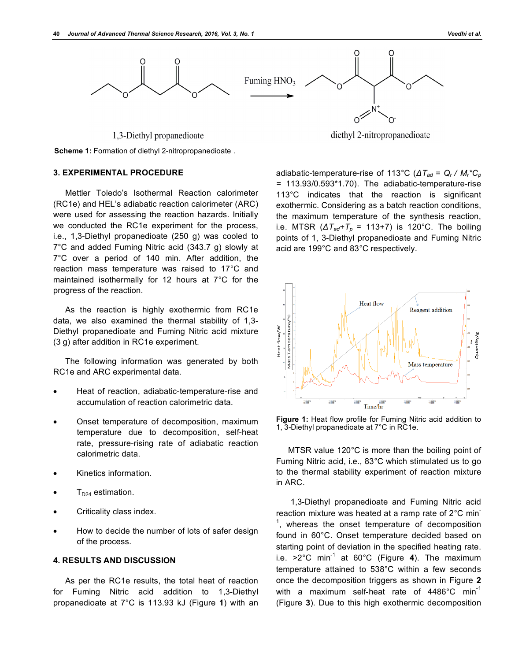

1,3-Diethyl propanedioate



#### **3. EXPERIMENTAL PROCEDURE**

Mettler Toledo's Isothermal Reaction calorimeter (RC1e) and HEL's adiabatic reaction calorimeter (ARC) were used for assessing the reaction hazards. Initially we conducted the RC1e experiment for the process, i.e., 1,3-Diethyl propanedioate (250 g) was cooled to 7°C and added Fuming Nitric acid (343.7 g) slowly at 7°C over a period of 140 min. After addition, the reaction mass temperature was raised to 17°C and maintained isothermally for 12 hours at 7°C for the progress of the reaction.

As the reaction is highly exothermic from RC1e data, we also examined the thermal stability of 1,3- Diethyl propanedioate and Fuming Nitric acid mixture (3 g) after addition in RC1e experiment.

The following information was generated by both RC1e and ARC experimental data.

- Heat of reaction, adiabatic-temperature-rise and accumulation of reaction calorimetric data.
- Onset temperature of decomposition, maximum temperature due to decomposition, self-heat rate, pressure-rising rate of adiabatic reaction calorimetric data.
- Kinetics information.
- $T_{D24}$  estimation.
- Criticality class index.
- How to decide the number of lots of safer design of the process.

## **4. RESULTS AND DISCUSSION**

As per the RC1e results, the total heat of reaction for Fuming Nitric acid addition to 1,3-Diethyl propanedioate at 7°C is 113.93 kJ (Figure **1**) with an

diethyl 2-nitropropanedioate

adiabatic-temperature-rise of 113°C (*ΔTad = Qr / Mr\*Cp =* 113.93/0.593\*1.70). The adiabatic-temperature-rise 113°C indicates that the reaction is significant exothermic. Considering as a batch reaction conditions, the maximum temperature of the synthesis reaction, i.e. MTSR  $(\Delta T_{ad} + T_p = 113 + 7)$  is 120°C. The boiling points of 1, 3-Diethyl propanedioate and Fuming Nitric acid are 199°C and 83°C respectively.



**Figure 1:** Heat flow profile for Fuming Nitric acid addition to 1, 3-Diethyl propanedioate at 7°C in RC1e.

MTSR value 120°C is more than the boiling point of Fuming Nitric acid, i.e., 83°C which stimulated us to go to the thermal stability experiment of reaction mixture in ARC.

 1,3-Diethyl propanedioate and Fuming Nitric acid reaction mixture was heated at a ramp rate of 2°C min- $<sup>1</sup>$ , whereas the onset temperature of decomposition</sup> found in 60°C. Onset temperature decided based on starting point of deviation in the specified heating rate. i.e. >2°C min-1 at 60°C (Figure **4**). The maximum temperature attained to 538°C within a few seconds once the decomposition triggers as shown in Figure **2** with a maximum self-heat rate of 4486°C min<sup>-1</sup> (Figure **3**). Due to this high exothermic decomposition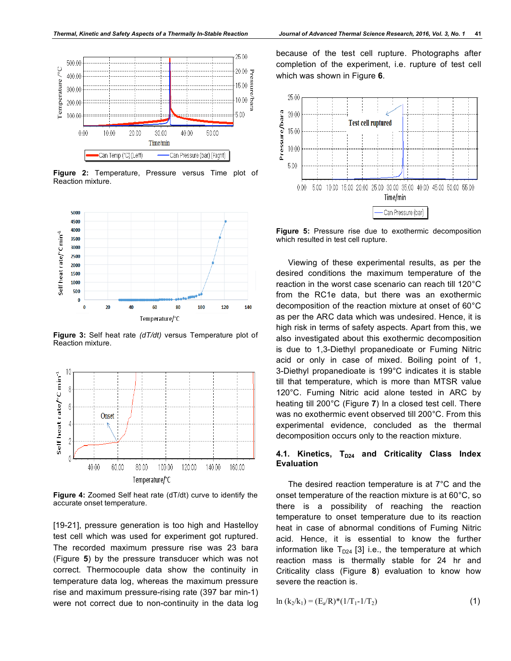

**Figure 2:** Temperature, Pressure versus Time plot of Reaction mixture.



**Figure 3:** Self heat rate *(dT/dt)* versus Temperature plot of Reaction mixture.



**Figure 4:** Zoomed Self heat rate (dT/dt) curve to identify the accurate onset temperature.

[19-21], pressure generation is too high and Hastelloy test cell which was used for experiment got ruptured. The recorded maximum pressure rise was 23 bara (Figure **5**) by the pressure transducer which was not correct. Thermocouple data show the continuity in temperature data log, whereas the maximum pressure rise and maximum pressure-rising rate (397 bar min-1) were not correct due to non-continuity in the data log

because of the test cell rupture. Photographs after completion of the experiment, i.e. rupture of test cell which was shown in Figure **6**.



**Figure 5:** Pressure rise due to exothermic decomposition which resulted in test cell rupture.

Viewing of these experimental results, as per the desired conditions the maximum temperature of the reaction in the worst case scenario can reach till 120°C from the RC1e data, but there was an exothermic decomposition of the reaction mixture at onset of 60°C as per the ARC data which was undesired. Hence, it is high risk in terms of safety aspects. Apart from this, we also investigated about this exothermic decomposition is due to 1,3-Diethyl propanedioate or Fuming Nitric acid or only in case of mixed. Boiling point of 1, 3-Diethyl propanedioate is 199°C indicates it is stable till that temperature, which is more than MTSR value 120°C. Fuming Nitric acid alone tested in ARC by heating till 200°C (Figure **7**) In a closed test cell. There was no exothermic event observed till 200°C. From this experimental evidence, concluded as the thermal decomposition occurs only to the reaction mixture.

#### 4.1. Kinetics, T<sub>D24</sub> and Criticality Class Index **Evaluation**

The desired reaction temperature is at 7°C and the onset temperature of the reaction mixture is at 60°C, so there is a possibility of reaching the reaction temperature to onset temperature due to its reaction heat in case of abnormal conditions of Fuming Nitric acid. Hence, it is essential to know the further information like  $T_{D24}$  [3] i.e., the temperature at which reaction mass is thermally stable for 24 hr and Criticality class (Figure **8**) evaluation to know how severe the reaction is.

$$
\ln (k_2/k_1) = (E_a/R)^*(1/T_1 - 1/T_2)
$$
\n(1)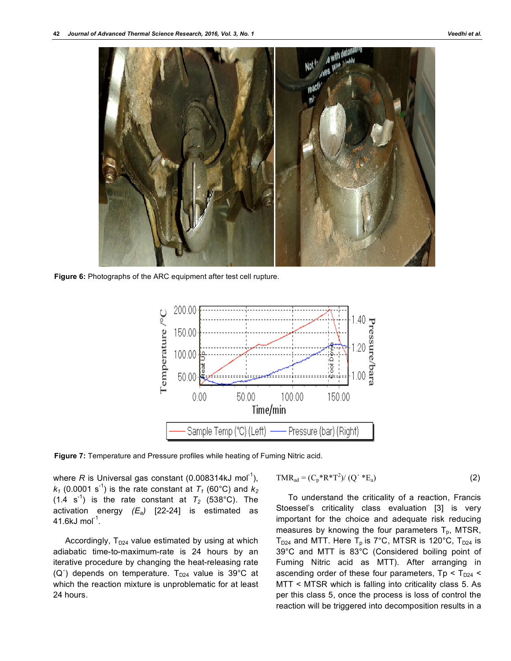

**Figure 6:** Photographs of the ARC equipment after test cell rupture.



**Figure 7:** Temperature and Pressure profiles while heating of Fuming Nitric acid.

where R is Universal gas constant (0.008314kJ mol<sup>-1</sup>),  $k_1$  (0.0001 s<sup>-1</sup>) is the rate constant at  $T_1$  (60°C) and  $k_2$  $(1.4 \text{ s}^{-1})$  is the rate constant at  $T_2$  (538°C). The activation energy *(Ea)* [22-24] is estimated as 41.6kJ mol $^{-1}$ .

Accordingly,  $T_{D24}$  value estimated by using at which adiabatic time-to-maximum-rate is 24 hours by an iterative procedure by changing the heat-releasing rate (Q<sup>'</sup>) depends on temperature.  $T_{D24}$  value is 39°C at which the reaction mixture is unproblematic for at least 24 hours.

$$
TMR_{ad} = (C_p * R * T^2) / (Q' * E_a)
$$
 (2)

To understand the criticality of a reaction, Francis Stoessel's criticality class evaluation [3] is very important for the choice and adequate risk reducing measures by knowing the four parameters  $T_p$ , MTSR,  $T_{D24}$  and MTT. Here  $T_p$  is 7°C, MTSR is 120°C,  $T_{D24}$  is 39°C and MTT is 83°C (Considered boiling point of Fuming Nitric acid as MTT). After arranging in ascending order of these four parameters,  $Tp < T_{D24}$ MTT < MTSR which is falling into criticality class 5. As per this class 5, once the process is loss of control the reaction will be triggered into decomposition results in a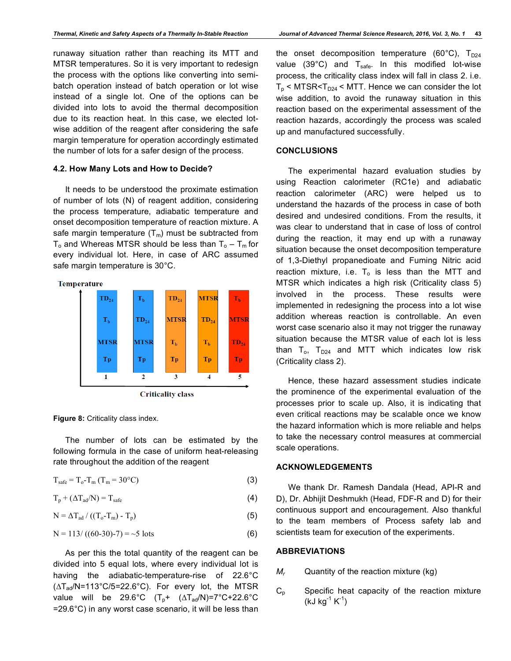runaway situation rather than reaching its MTT and MTSR temperatures. So it is very important to redesign the process with the options like converting into semibatch operation instead of batch operation or lot wise instead of a single lot. One of the options can be divided into lots to avoid the thermal decomposition due to its reaction heat. In this case, we elected lotwise addition of the reagent after considering the safe margin temperature for operation accordingly estimated the number of lots for a safer design of the process.

#### **4.2. How Many Lots and How to Decide?**

It needs to be understood the proximate estimation of number of lots (N) of reagent addition, considering the process temperature, adiabatic temperature and onset decomposition temperature of reaction mixture. A safe margin temperature  $(T_m)$  must be subtracted from  $T_0$  and Whereas MTSR should be less than  $T_0 - T_m$  for every individual lot. Here, in case of ARC assumed safe margin temperature is 30°C.





**Figure 8:** Criticality class index.

The number of lots can be estimated by the following formula in the case of uniform heat-releasing rate throughout the addition of the reagent

 $T_{\text{safe}} = T_0 - T_{\text{m}} (T_{\text{m}} = 30^{\circ} \text{C})$  (3)

$$
T_p + (\Delta T_{ad}/N) = T_{safe}
$$
 (4)

 $N = \Delta T_{ad} / ((T_o - T_m) - T_p)$  (5)

$$
N = 113 / ((60-30)-7) = -5 \text{ lots}
$$
 (6)

As per this the total quantity of the reagent can be divided into 5 equal lots, where every individual lot is having the adiabatic-temperature-rise of 22.6°C  $(\Delta T_{\text{ad}}/N=113^{\circ}C/5=22.6^{\circ}C)$ . For every lot, the MTSR value will be 29.6°C  $(T_p + (\Delta T_{ad}/N)=7$ °C+22.6°C =29.6°C) in any worst case scenario, it will be less than the onset decomposition temperature (60 $^{\circ}$ C), T<sub>D24</sub> value  $(39^{\circ}C)$  and  $T_{safe}$ . In this modified lot-wise process, the criticality class index will fall in class 2. i.e.  $T_p$  < MTSR< $T_{D24}$  < MTT. Hence we can consider the lot wise addition, to avoid the runaway situation in this reaction based on the experimental assessment of the reaction hazards, accordingly the process was scaled up and manufactured successfully.

#### **CONCLUSIONS**

The experimental hazard evaluation studies by using Reaction calorimeter (RC1e) and adiabatic reaction calorimeter (ARC) were helped us to understand the hazards of the process in case of both desired and undesired conditions. From the results, it was clear to understand that in case of loss of control during the reaction, it may end up with a runaway situation because the onset decomposition temperature of 1,3-Diethyl propanedioate and Fuming Nitric acid reaction mixture, i.e.  $T_0$  is less than the MTT and MTSR which indicates a high risk (Criticality class 5) involved in the process. These results were implemented in redesigning the process into a lot wise addition whereas reaction is controllable. An even worst case scenario also it may not trigger the runaway situation because the MTSR value of each lot is less than  $T_0$ ,  $T_{D24}$  and MTT which indicates low risk (Criticality class 2).

Hence, these hazard assessment studies indicate the prominence of the experimental evaluation of the processes prior to scale up. Also, it is indicating that even critical reactions may be scalable once we know the hazard information which is more reliable and helps to take the necessary control measures at commercial scale operations.

#### **ACKNOWLEDGEMENTS**

We thank Dr. Ramesh Dandala (Head, API-R and D), Dr. Abhijit Deshmukh (Head, FDF-R and D) for their continuous support and encouragement. Also thankful to the team members of Process safety lab and scientists team for execution of the experiments.

### **ABBREVIATIONS**

- *M<sub>r</sub>* Quantity of the reaction mixture (kg)
- $C_p$  Specific heat capacity of the reaction mixture (kJ kg $^{-1}$  K $^{-1}$ )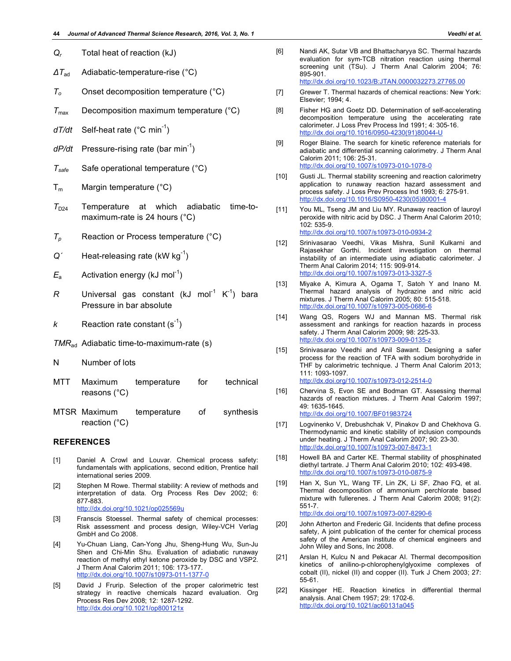- *ΔT*ad Adiabatic-temperature-rise (°C)
- *To* Onset decomposition temperature (°C)
- $T_{\text{max}}$  Decomposition maximum temperature ( $^{\circ}$ C)
- dT/dt Self-heat rate (°C min<sup>-1</sup>)
- dP/dt Pressure-rising rate (bar min<sup>-1</sup>)
- *Tsafe* Safe operational temperature (°C)
- $T_m$  Margin temperature (°C)
- $T_{D24}$  Temperature at which adiabatic time-tomaximum-rate is 24 hours (°C)
- *Tp* Reaction or Process temperature (°C)
- Q<sup>'</sup> Heat-releasing rate (kW kg<sup>-1</sup>)
- $E_{\rm a}$  Activation energy (kJ mol<sup>-1</sup>)
- $R$  Universal gas constant (kJ mol<sup>-1</sup> K<sup>-1</sup>) bara Pressure in bar absolute
- $k$  Reaction rate constant (s<sup>-1</sup>)
- *TMR*ad Adiabatic time-to-maximum-rate (s)
- N Number of lots
- MTT Maximum temperature for technical reasons (°C)
- MTSR Maximum temperature of synthesis reaction (°C)

#### **REFERENCES**

- [1] Daniel A Crowl and Louvar. Chemical process safety: fundamentals with applications, second edition, Prentice hall international series 2009.
- [2] Stephen M Rowe. Thermal stability: A review of methods and interpretation of data. Org Process Res Dev 2002; 6: 877-883. http://dx.doi.org/10.1021/op025569u
- [3] Franscis Stoessel. Thermal safety of chemical processes: Risk assessment and process design, Wiley-VCH Verlag GmbH and Co 2008.
- [4] Yu-Chuan Liang, Can-Yong Jhu, Sheng-Hung Wu, Sun-Ju Shen and Chi-Min Shu. Evaluation of adiabatic runaway reaction of methyl ethyl ketone peroxide by DSC and VSP2. J Therm Anal Calorim 2011; 106: 173-177. http://dx.doi.org/10.1007/s10973-011-1377-0
- [5] David J Frurip. Selection of the proper calorimetric test strategy in reactive chemicals hazard evaluation. Org Process Res Dev 2008; 12: 1287-1292. http://dx.doi.org/10.1021/op800121x

[6] Nandi AK, Sutar VB and Bhattacharyya SC. Thermal hazards evaluation for sym-TCB nitration reaction using thermal screening unit (TSu). J Therm Anal Calorim 2004; 76: 895-901.

http://dx.doi.org/10.1023/B:JTAN.0000032273.27765.00

- [7] Grewer T. Thermal hazards of chemical reactions: New York: Elsevier; 1994; 4.
- [8] Fisher HG and Goetz DD. Determination of self-accelerating decomposition temperature using the accelerating rate calorimeter. J Loss Prev Process Ind 1991; 4: 305-16. http://dx.doi.org/10.1016/0950-4230(91)80044-U
- [9] Roger Blaine. The search for kinetic reference materials for adiabatic and differential scanning calorimetry. J Therm Anal Calorim 2011; 106: 25-31. http://dx.doi.org/10.1007/s10973-010-1078-0
- [10] Gusti JL. Thermal stability screening and reaction calorimetry application to runaway reaction hazard assessment and process safety. J Loss Prev Process Ind 1993; 6: 275-91. http://dx.doi.org/10.1016/S0950-4230(05)80001-4
- [11] You ML, Tseng JM and Liu MY. Runaway reaction of lauroyl peroxide with nitric acid by DSC. J Therm Anal Calorim 2010; 102: 535-9. http://dx.doi.org/10.1007/s10973-010-0934-2
- [12] Srinivasarao Veedhi, Vikas Mishra, Sunil Kulkarni and Rajasekhar Gorthi. Incident investigation on thermal instability of an intermediate using adiabatic calorimeter. J Therm Anal Calorim 2014; 115: 909-914. http://dx.doi.org/10.1007/s10973-013-3327-5
- [13] Miyake A, Kimura A, Ogama T, Satoh Y and Inano M. Thermal hazard analysis of hydrazine and nitric acid mixtures. J Therm Anal Calorim 2005; 80: 515-518. http://dx.doi.org/10.1007/s10973-005-0686-6
- [14] Wang QS, Rogers WJ and Mannan MS. Thermal risk assessment and rankings for reaction hazards in process safety. J Therm Anal Calorim 2009; 98: 225-33. http://dx.doi.org/10.1007/s10973-009-0135-z
- [15] Srinivasarao Veedhi and Anil Sawant. Designing a safer process for the reaction of TFA with sodium borohydride in THF by calorimetric technique. J Therm Anal Calorim 2013; 111: 1093-1097. http://dx.doi.org/10.1007/s10973-012-2514-0
- [16] Chervina S, Evon SE and Bodman GT. Assessing thermal hazards of reaction mixtures. J Therm Anal Calorim 1997; 49: 1635-1645. http://dx.doi.org/10.1007/BF01983724
- [17] Logvinenko V, Drebushchak V, Pinakov D and Chekhova G. Thermodynamic and kinetic stability of inclusion compounds under heating. J Therm Anal Calorim 2007; 90: 23-30. http://dx.doi.org/10.1007/s10973-007-8473-1
- [18] Howell BA and Carter KE. Thermal stability of phosphinated diethyl tartrate. J Therm Anal Calorim 2010; 102: 493-498. http://dx.doi.org/10.1007/s10973-010-0875-9
- [19] Han X, Sun YL, Wang TF, Lin ZK, Li SF, Zhao FQ, et al. Thermal decomposition of ammonium perchlorate based mixture with fullerenes. J Therm Anal Calorim 2008; 91(2): 551-7. http://dx.doi.org/10.1007/s10973-007-8290-6
- [20] John Atherton and Frederic Gil. Incidents that define process safety, A joint publication of the center for chemical process safety of the American institute of chemical engineers and John Wiley and Sons, Inc 2008.
- [21] Arslan H, Kulcu N and Pekacar AI. Thermal decomposition kinetics of anilino-p-chlorophenylglyoxime complexes of cobalt (II), nickel (II) and copper (II). Turk J Chem 2003; 27: 55-61.
- [22] Kissinger HE. Reaction kinetics in differential thermal analysis. Anal Chem 1957; 29: 1702-6. http://dx.doi.org/10.1021/ac60131a045